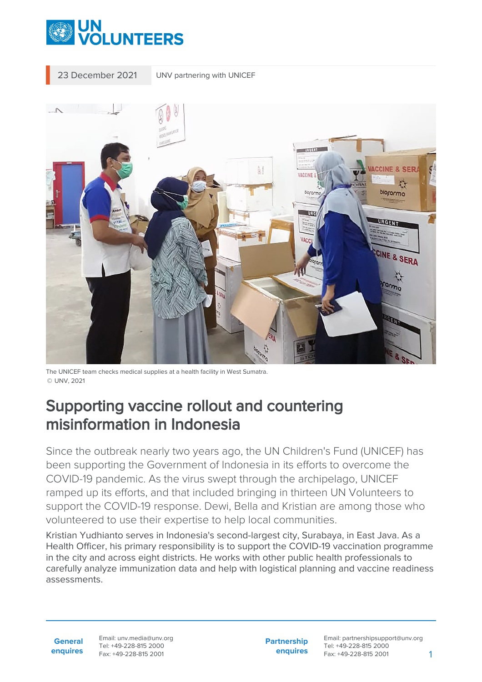

23 December 2021 UNV partnering with UNICEF



The UNICEF team checks medical supplies at a health facility in West Sumatra. © UNV, 2021

## Supporting vaccine rollout and countering misinformation in Indonesia

Since the outbreak nearly two years ago, the UN Children's Fund (UNICEF) has been supporting the Government of Indonesia in its efforts to overcome the COVID-19 pandemic. As the virus swept through the archipelago, UNICEF ramped up its efforts, and that included bringing in thirteen UN Volunteers to support the COVID-19 response. Dewi, Bella and Kristian are among those who volunteered to use their expertise to help local communities.

Kristian Yudhianto serves in Indonesia's second-largest city, Surabaya, in East Java. As a Health Officer, his primary responsibility is to support the COVID-19 vaccination programme in the city and across eight districts. He works with other public health professionals to carefully analyze immunization data and help with logistical planning and vaccine readiness assessments.

Email: unv.media@unv.org Tel: +49-228-815 2000 Fax: +49-228-815 2001

**Partnership enquires**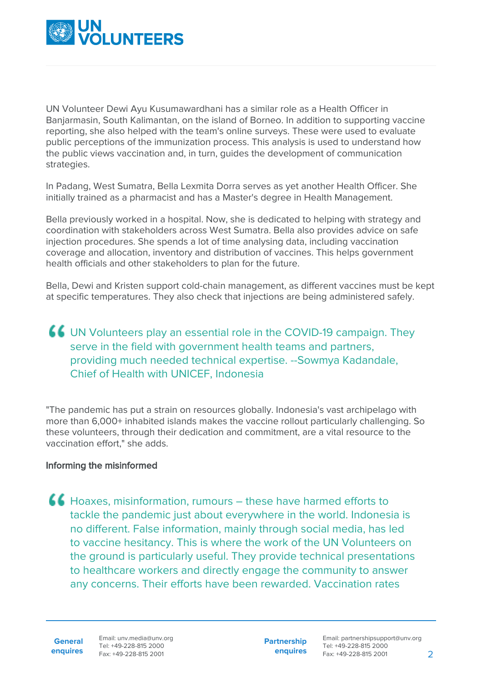

UN Volunteer Dewi Ayu Kusumawardhani has a similar role as a Health Officer in Banjarmasin, South Kalimantan, on the island of Borneo. In addition to supporting vaccine reporting, she also helped with the team's online surveys. These were used to evaluate public perceptions of the immunization process. This analysis is used to understand how the public views vaccination and, in turn, guides the development of communication strategies.

In Padang, West Sumatra, Bella Lexmita Dorra serves as yet another Health Officer. She initially trained as a pharmacist and has a Master's degree in Health Management.

Bella previously worked in a hospital. Now, she is dedicated to helping with strategy and coordination with stakeholders across West Sumatra. Bella also provides advice on safe injection procedures. She spends a lot of time analysing data, including vaccination coverage and allocation, inventory and distribution of vaccines. This helps government health officials and other stakeholders to plan for the future.

Bella, Dewi and Kristen support cold-chain management, as different vaccines must be kept at specific temperatures. They also check that injections are being administered safely.

## UN Volunteers play an essential role in the COVID-19 campaign. They serve in the field with government health teams and partners. providing much needed technical expertise. --Sowmya Kadandale, Chief of Health with UNICEF, Indonesia

"The pandemic has put a strain on resources globally. Indonesia's vast archipelago with more than 6,000+ inhabited islands makes the vaccine rollout particularly challenging. So these volunteers, through their dedication and commitment, are a vital resource to the vaccination effort," she adds.

## Informing the misinformed

Hoaxes, misinformation, rumours – these have harmed efforts to tackle the pandemic just about everywhere in the world. Indonesia is no different. False information, mainly through social media, has led to vaccine hesitancy. This is where the work of the UN Volunteers on the ground is particularly useful. They provide technical presentations to healthcare workers and directly engage the community to answer any concerns. Their efforts have been rewarded. Vaccination rates

**General enquires** Email: unv.media@unv.org Tel: +49-228-815 2000 Fax: +49-228-815 2001

**Partnership enquires**

Email: partnershipsupport@unv.org Tel: +49-228-815 2000 Fax: +49-228-815 2001 2